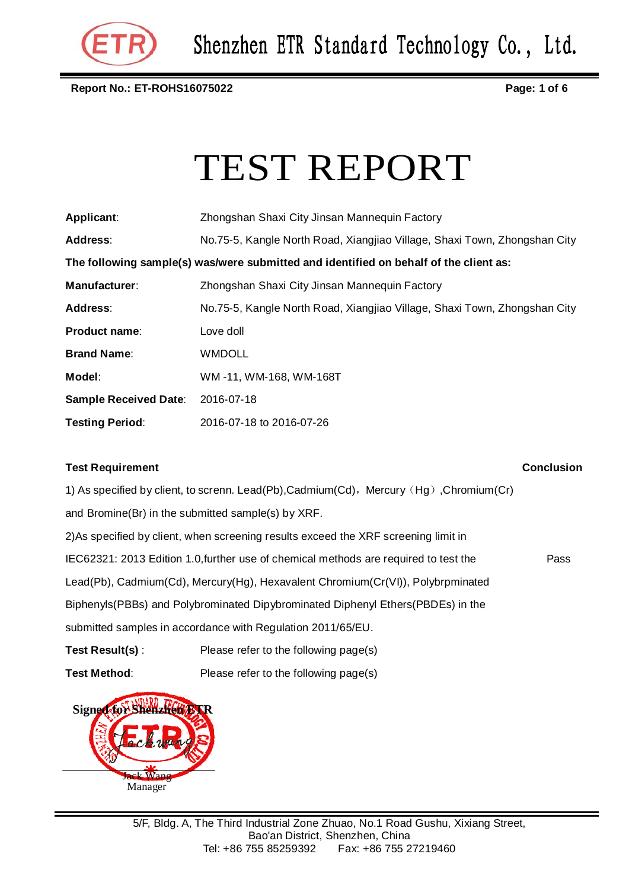

**Report No.: ET-ROHS16075022 Page: 1 of 6**

# TEST REPORT

| Applicant:                                                                            | Zhongshan Shaxi City Jinsan Mannequin Factory                             |  |  |  |  |
|---------------------------------------------------------------------------------------|---------------------------------------------------------------------------|--|--|--|--|
| Address:                                                                              | No.75-5, Kangle North Road, Xiangjiao Village, Shaxi Town, Zhongshan City |  |  |  |  |
| The following sample(s) was/were submitted and identified on behalf of the client as: |                                                                           |  |  |  |  |
| Manufacturer:                                                                         | Zhongshan Shaxi City Jinsan Mannequin Factory                             |  |  |  |  |
| <b>Address:</b>                                                                       | No.75-5, Kangle North Road, Xiangjiao Village, Shaxi Town, Zhongshan City |  |  |  |  |
| Product name:                                                                         | Love doll                                                                 |  |  |  |  |
| <b>Brand Name:</b>                                                                    | <b>WMDOLL</b>                                                             |  |  |  |  |
| Model:                                                                                | WM-11, WM-168, WM-168T                                                    |  |  |  |  |
| <b>Sample Received Date:</b>                                                          | 2016-07-18                                                                |  |  |  |  |
| <b>Testing Period:</b>                                                                | 2016-07-18 to 2016-07-26                                                  |  |  |  |  |

#### **Test Requirement Conclusion**

Pass

1) As specified by client, to screnn. Lead(Pb), Cadmium(Cd), Mercury (Hg), Chromium(Cr) and Bromine(Br) in the submitted sample(s) by XRF. 2)As specified by client, when screening results exceed the XRF screening limit in IEC62321: 2013 Edition 1.0,further use of chemical methods are required to test the Lead(Pb), Cadmium(Cd), Mercury(Hg), Hexavalent Chromium(Cr(VI)), Polybrpminated Biphenyls(PBBs) and Polybrominated Dipybrominated Diphenyl Ethers(PBDEs) in the submitted samples in accordance with Regulation 2011/65/EU.

**Test Result(s)** : Please refer to the following page(s)

**Test Method:** Please refer to the following page(s)

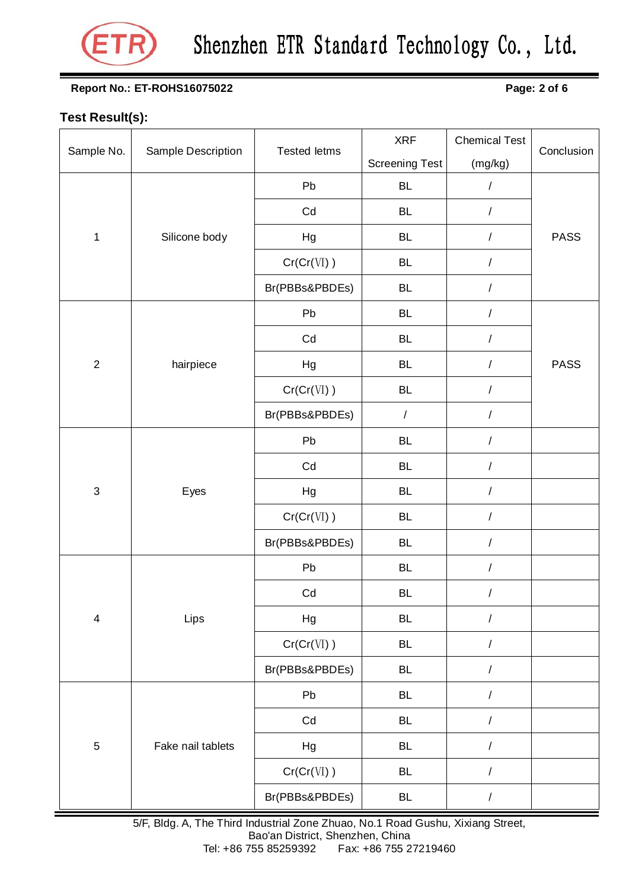

## Shenzhen ETR Standard Technology Co., Ltd.

#### **Report No.: ET-ROHS16075022 Page: 2 of 6**

### **Test Result(s):**

|                |                    | <b>Tested letms</b> | <b>XRF</b>            | <b>Chemical Test</b> | Conclusion  |
|----------------|--------------------|---------------------|-----------------------|----------------------|-------------|
| Sample No.     | Sample Description |                     | <b>Screening Test</b> | (mg/kg)              |             |
|                |                    | Pb                  | BL                    | $\prime$             |             |
| $\mathbf 1$    | Silicone body      | Cd                  | <b>BL</b>             | $\sqrt{2}$           |             |
|                |                    | Hg                  | <b>BL</b>             | $\sqrt{2}$           | <b>PASS</b> |
|                |                    | Cr(Cr(VI))          | <b>BL</b>             | $\sqrt{2}$           |             |
|                |                    | Br(PBBs&PBDEs)      | <b>BL</b>             | $\sqrt{2}$           |             |
|                |                    | Pb                  | <b>BL</b>             | $\sqrt{2}$           | <b>PASS</b> |
|                | hairpiece          | Cd                  | <b>BL</b>             | $\overline{1}$       |             |
| $\overline{2}$ |                    | Hg                  | <b>BL</b>             | $\overline{1}$       |             |
|                |                    | Cr(Cr(VI))          | <b>BL</b>             | $\prime$             |             |
|                |                    | Br(PBBs&PBDEs)      | $\overline{1}$        | $\overline{1}$       |             |
|                | Eyes               | Pb                  | <b>BL</b>             | $\prime$             |             |
|                |                    | Cd                  | <b>BL</b>             | $\prime$             |             |
| 3              |                    | Hg                  | <b>BL</b>             | $\sqrt{2}$           |             |
|                |                    | Cr(Cr(VI))          | <b>BL</b>             | $\sqrt{2}$           |             |
|                |                    | Br(PBBs&PBDEs)      | <b>BL</b>             | $\overline{1}$       |             |
| $\overline{4}$ |                    | Pb                  | <b>BL</b>             | $\prime$             |             |
|                |                    | Cd                  | <b>BL</b>             | $\overline{1}$       |             |
|                | Lips               | Hg                  | <b>BL</b>             | $\overline{1}$       |             |
|                |                    | Cr(Cr(VI))          | <b>BL</b>             | $\sqrt{2}$           |             |
|                |                    | Br(PBBs&PBDEs)      | <b>BL</b>             | $\sqrt{2}$           |             |
| $\mathbf 5$    | Fake nail tablets  | Pb                  | <b>BL</b>             | $\sqrt{2}$           |             |
|                |                    | Cd                  | <b>BL</b>             | $\sqrt{2}$           |             |
|                |                    | Hg                  | <b>BL</b>             | $\sqrt{2}$           |             |
|                |                    | Cr(Cr(VI))          | <b>BL</b>             | $\sqrt{2}$           |             |
|                |                    | Br(PBBs&PBDEs)      | <b>BL</b>             | $\sqrt{2}$           |             |

5/F, Bldg. A, The Third Industrial Zone Zhuao, No.1 Road Gushu, Xixiang Street, Bao'an District, Shenzhen, China<br>Tel: +86 755 85259392 Fax: +86 755 2 Fax: +86 755 27219460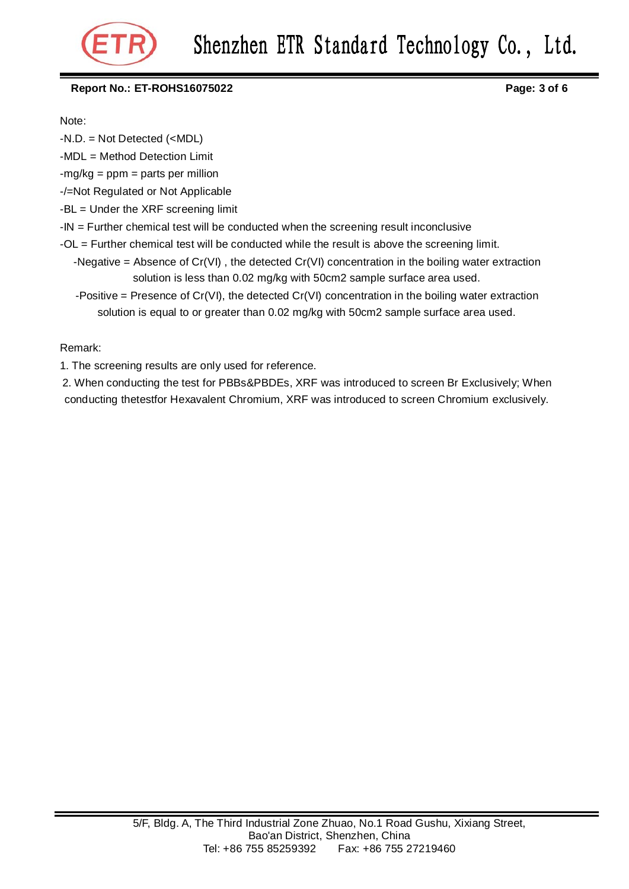

#### **Report No.: ET-ROHS16075022 Page: 3 of 6**

Note:

-N.D. = Not Detected (<MDL)

-MDL = Method Detection Limit

 $-mg/kg = ppm = parts per million$ 

-/=Not Regulated or Not Applicable

-BL = Under the XRF screening limit

 $-IN =$  Further chemical test will be conducted when the screening result inconclusive

- -OL = Further chemical test will be conducted while the result is above the screening limit.
	- -Negative = Absence of Cr(VI) , the detected Cr(VI) concentration in the boiling water extraction solution is less than 0.02 mg/kg with 50cm2 sample surface area used.
	- -Positive = Presence of  $Cr(VI)$ , the detected  $Cr(VI)$  concentration in the boiling water extraction solution is equal to or greater than 0.02 mg/kg with 50cm2 sample surface area used.

Remark:

1. The screening results are only used for reference.

2. When conducting the test for PBBs&PBDEs, XRF was introduced to screen Br Exclusively; When conducting thetestfor Hexavalent Chromium, XRF was introduced to screen Chromium exclusively.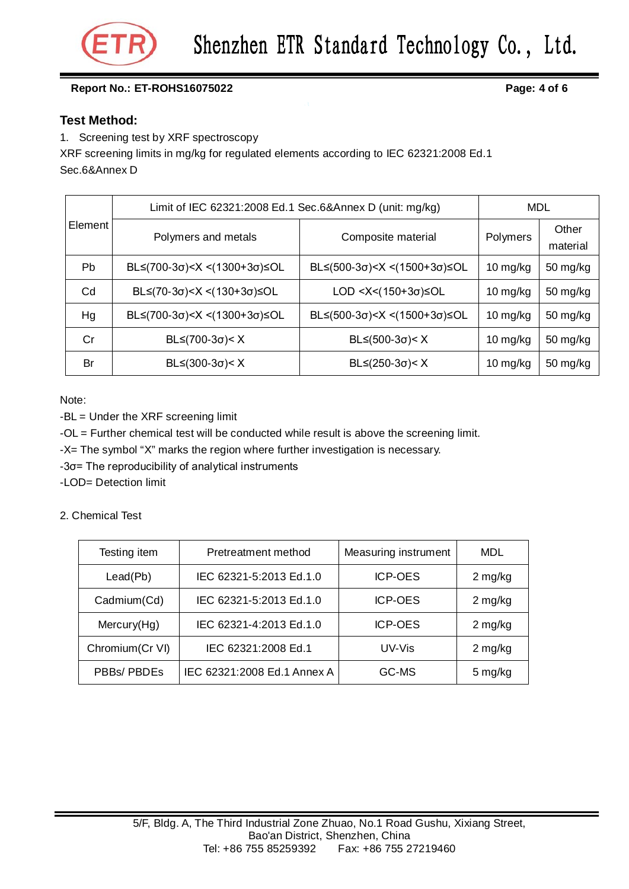

#### **Report No.: ET-ROHS16075022 Page: 4 of 6**

#### **Test Method:**

1. Screening test by XRF spectroscopy

XRF screening limits in mg/kg for regulated elements according to IEC 62321:2008 Ed.1 Sec.6&Annex D

| Element | Limit of IEC 62321:2008 Ed.1 Sec.6&Annex D (unit: mg/kg)                                                                                                     |                                                                               |            | <b>MDL</b>        |  |
|---------|--------------------------------------------------------------------------------------------------------------------------------------------------------------|-------------------------------------------------------------------------------|------------|-------------------|--|
|         | Polymers and metals                                                                                                                                          | Composite material                                                            | Polymers   | Other<br>material |  |
| Pb.     | BL≤(700-3σ) <x <(1300+3σ)≤ol<="" td=""><td>BL≤(500-3σ)<x <(1500+3σ)≤ol<="" td=""><td>10 mg/kg</td><td>50 mg/kg</td></x></td></x>                             | BL≤(500-3σ) <x <(1500+3σ)≤ol<="" td=""><td>10 mg/kg</td><td>50 mg/kg</td></x> | 10 mg/kg   | 50 mg/kg          |  |
| Cd      | BL≤(70-3σ) <x <(130+3σ)≤ol<="" td=""><td>LOD &lt;<math>X&lt;(150+3\sigma)</math> <math>\leq</math>OL</td><td>10 <math>mg/kg</math></td><td>50 mg/kg</td></x> | LOD < $X<(150+3\sigma)$ $\leq$ OL                                             | 10 $mg/kg$ | 50 mg/kg          |  |
| Hg      | BL≤(700-3σ) <x <(1300+3σ)≤ol<="" td=""><td><math>BL ≤ (500-3σ) &lt; X &lt; (1500+3σ) ≤ OL</math></td><td>10 mg/kg</td><td>50 mg/kg</td></x>                  | $BL ≤ (500-3σ) < X < (1500+3σ) ≤ OL$                                          | 10 mg/kg   | 50 mg/kg          |  |
| Cr      | $BL≤(700-3σ) < X$                                                                                                                                            | $BL ≤ (500-3σ) < X$                                                           | 10 mg/kg   | 50 mg/kg          |  |
| Br      | $BL ≤ (300-3σ) < X$                                                                                                                                          | $BL ≤ (250-3σ) < X$                                                           | 10 $mg/kg$ | 50 mg/kg          |  |

Note:

-BL = Under the XRF screening limit

-OL = Further chemical test will be conducted while result is above the screening limit.

-X= The symbol "X" marks the region where further investigation is necessary.

-3σ= The reproducibility of analytical instruments

-LOD= Detection limit

2. Chemical Test

| Testing item     | Pretreatment method         | Measuring instrument | MDL       |
|------------------|-----------------------------|----------------------|-----------|
| Leaf(Pb)         | IEC 62321-5:2013 Ed.1.0     | <b>ICP-OES</b>       | $2$ mg/kg |
| Cadmium(Cd)      | IEC 62321-5:2013 Ed.1.0     | <b>ICP-OES</b>       | $2$ mg/kg |
| Mercury(Hg)      | IEC 62321-4:2013 Ed.1.0     | <b>ICP-OES</b>       | $2$ mg/kg |
| Chromium (Cr VI) | IEC 62321:2008 Ed.1         | UV-Vis               | 2 mg/kg   |
| PBBs/ PBDEs      | IEC 62321:2008 Ed.1 Annex A | GC-MS                | 5 mg/kg   |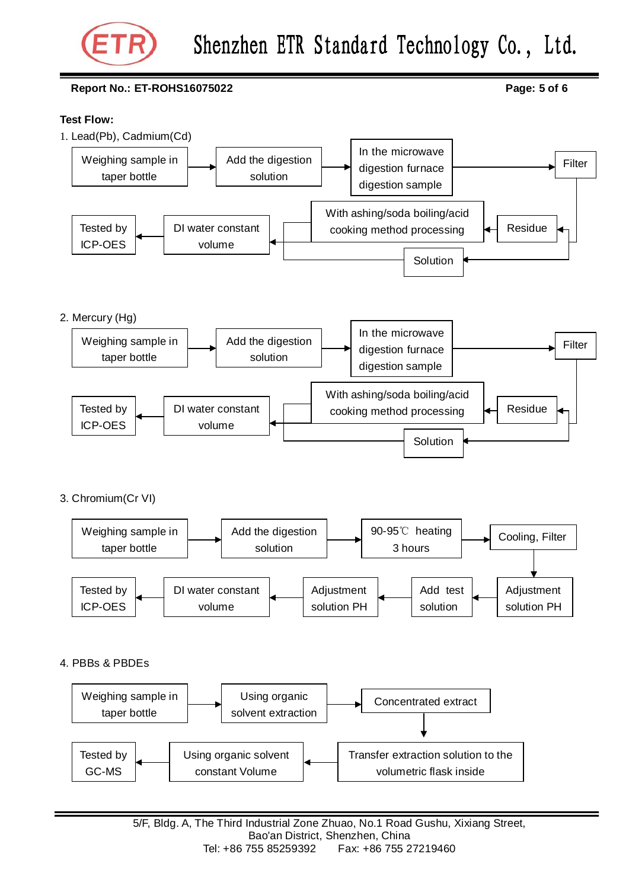

## Shenzhen ETR Standard Technology Co., Ltd.

#### **Report No.: ET-ROHS16075022 Page: 5 of 6**

#### **Test Flow:**



Add test solution Adjustment solution PH DI water constant volume Tested by ICP-OES Adjustment solution PH

4. PBBs & PBDEs